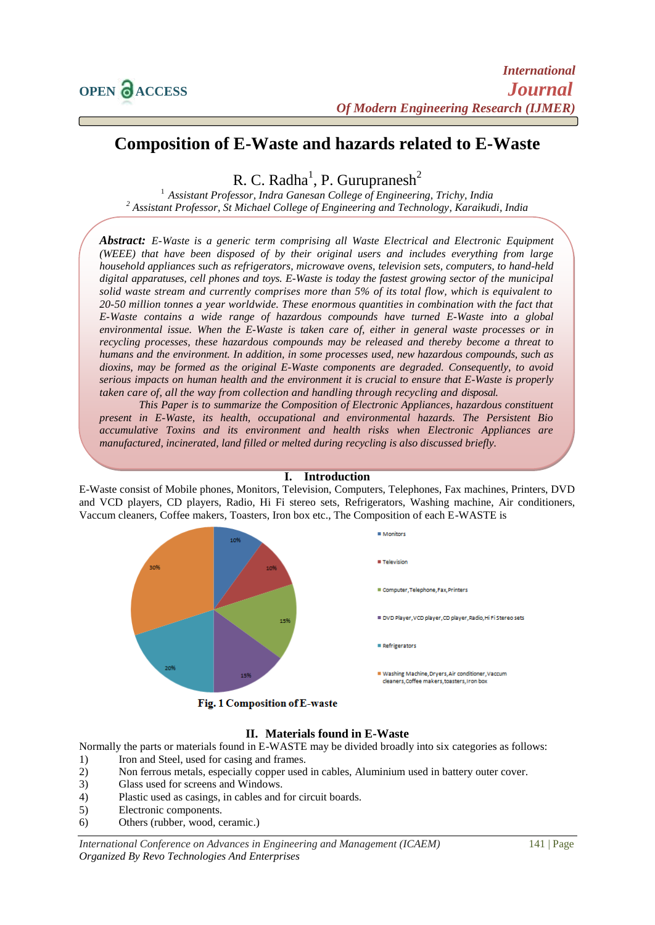# **Composition of E-Waste and hazards related to E-Waste**

R. C. Radha<sup>1</sup>, P. Gurupranesh<sup>2</sup>

<sup>1</sup> *Assistant Professor, Indra Ganesan College of Engineering, Trichy, India <sup>2</sup> Assistant Professor, St Michael College of Engineering and Technology, Karaikudi, India*

*Abstract: E-Waste is a generic term comprising all Waste Electrical and Electronic Equipment (WEEE) that have been disposed of by their original users and includes everything from large household appliances such as refrigerators, microwave ovens, television sets, computers, to hand-held digital apparatuses, cell phones and toys. E-Waste is today the fastest growing sector of the municipal solid waste stream and currently comprises more than 5% of its total flow, which is equivalent to 20-50 million tonnes a year worldwide. These enormous quantities in combination with the fact that E-Waste contains a wide range of hazardous compounds have turned E-Waste into a global environmental issue. When the E-Waste is taken care of, either in general waste processes or in recycling processes, these hazardous compounds may be released and thereby become a threat to humans and the environment. In addition, in some processes used, new hazardous compounds, such as dioxins, may be formed as the original E-Waste components are degraded. Consequently, to avoid serious impacts on human health and the environment it is crucial to ensure that E-Waste is properly taken care of, all the way from collection and handling through recycling and disposal.*

*This Paper is to summarize the Composition of Electronic Appliances, hazardous constituent present in E-Waste, its health, occupational and environmental hazards. The Persistent Bio accumulative Toxins and its environment and health risks when Electronic Appliances are manufactured, incinerated, land filled or melted during recycling is also discussed briefly.*

#### **I. Introduction**

E-Waste consist of Mobile phones, Monitors, Television, Computers, Telephones, Fax machines, Printers, DVD and VCD players, CD players, Radio, Hi Fi stereo sets, Refrigerators, Washing machine, Air conditioners, Vaccum cleaners, Coffee makers, Toasters, Iron box etc., The Composition of each E-WASTE is



Fig. 1 Composition of E-waste

# **II. Materials found in E-Waste**

Normally the parts or materials found in E-WASTE may be divided broadly into six categories as follows:

- 1) Iron and Steel, used for casing and frames.
- 2) Non ferrous metals, especially copper used in cables, Aluminium used in battery outer cover.
- 3) Glass used for screens and Windows.
- 4) Plastic used as casings, in cables and for circuit boards.
- 5) Electronic components.
- 6) Others (rubber, wood, ceramic.)

*International Conference on Advances in Engineering and Management (ICAEM)* 141 | Page *Organized By Revo Technologies And Enterprises*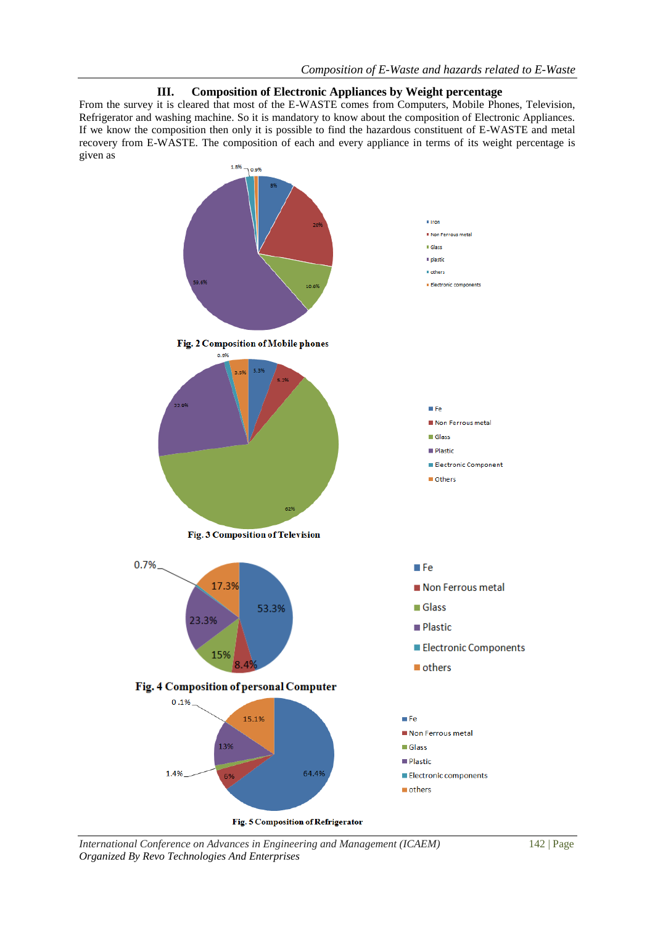## **III. Composition of Electronic Appliances by Weight percentage**

From the survey it is cleared that most of the E-WASTE comes from Computers, Mobile Phones, Television, Refrigerator and washing machine. So it is mandatory to know about the composition of Electronic Appliances. If we know the composition then only it is possible to find the hazardous constituent of E-WASTE and metal recovery from E-WASTE. The composition of each and every appliance in terms of its weight percentage is given as



*International Conference on Advances in Engineering and Management (ICAEM)* 142 | Page *Organized By Revo Technologies And Enterprises*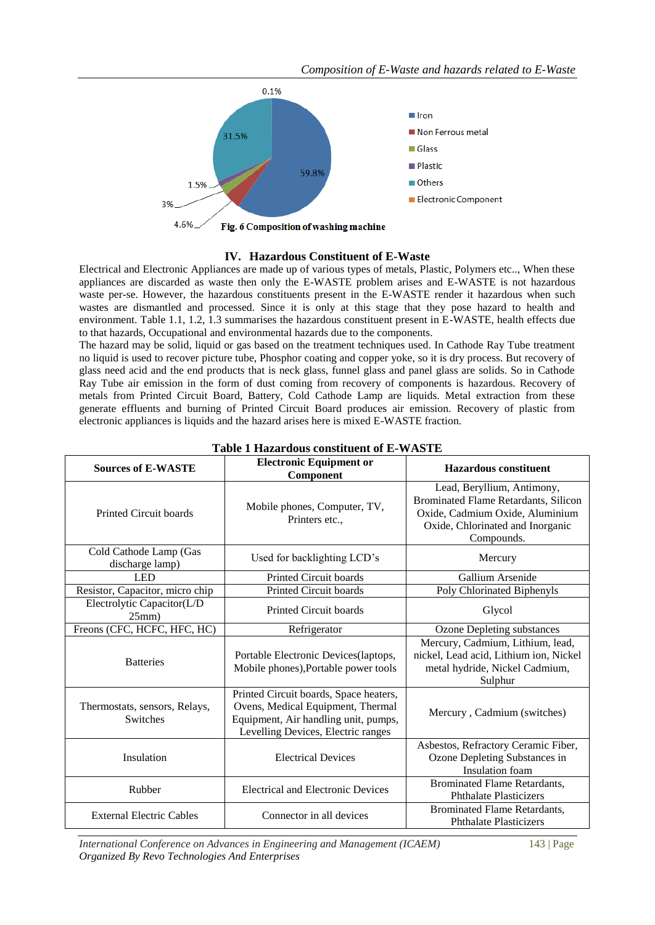

### **IV. Hazardous Constituent of E-Waste**

Electrical and Electronic Appliances are made up of various types of metals, Plastic, Polymers etc.., When these appliances are discarded as waste then only the E-WASTE problem arises and E-WASTE is not hazardous waste per-se. However, the hazardous constituents present in the E-WASTE render it hazardous when such wastes are dismantled and processed. Since it is only at this stage that they pose hazard to health and environment. Table 1.1, 1.2, 1.3 summarises the hazardous constituent present in E-WASTE, health effects due to that hazards, Occupational and environmental hazards due to the components.

The hazard may be solid, liquid or gas based on the treatment techniques used. In Cathode Ray Tube treatment no liquid is used to recover picture tube, Phosphor coating and copper yoke, so it is dry process. But recovery of glass need acid and the end products that is neck glass, funnel glass and panel glass are solids. So in Cathode Ray Tube air emission in the form of dust coming from recovery of components is hazardous. Recovery of metals from Printed Circuit Board, Battery, Cold Cathode Lamp are liquids. Metal extraction from these generate effluents and burning of Printed Circuit Board produces air emission. Recovery of plastic from electronic appliances is liquids and the hazard arises here is mixed E-WASTE fraction.

| <b>Electronic Equipment or</b><br><b>Sources of E-WASTE</b><br>Component |                                                                                                                                                           | <b>Hazardous</b> constituent                                                                                                                            |  |
|--------------------------------------------------------------------------|-----------------------------------------------------------------------------------------------------------------------------------------------------------|---------------------------------------------------------------------------------------------------------------------------------------------------------|--|
| <b>Printed Circuit boards</b>                                            | Mobile phones, Computer, TV,<br>Printers etc.,                                                                                                            | Lead, Beryllium, Antimony,<br>Brominated Flame Retardants, Silicon<br>Oxide, Cadmium Oxide, Aluminium<br>Oxide, Chlorinated and Inorganic<br>Compounds. |  |
| Cold Cathode Lamp (Gas<br>discharge lamp)                                | Used for backlighting LCD's                                                                                                                               | Mercury                                                                                                                                                 |  |
| <b>LED</b>                                                               | <b>Printed Circuit boards</b>                                                                                                                             | Gallium Arsenide                                                                                                                                        |  |
| Resistor, Capacitor, micro chip                                          | <b>Printed Circuit boards</b>                                                                                                                             | Poly Chlorinated Biphenyls                                                                                                                              |  |
| Electrolytic Capacitor(L/D<br>25mm)                                      | <b>Printed Circuit boards</b>                                                                                                                             | Glycol                                                                                                                                                  |  |
| Freons (CFC, HCFC, HFC, HC)                                              | Refrigerator                                                                                                                                              | <b>Ozone Depleting substances</b>                                                                                                                       |  |
| <b>Batteries</b>                                                         | Portable Electronic Devices(laptops,<br>Mobile phones), Portable power tools                                                                              | Mercury, Cadmium, Lithium, lead,<br>nickel, Lead acid, Lithium ion, Nickel<br>metal hydride, Nickel Cadmium,<br>Sulphur                                 |  |
| Thermostats, sensors, Relays,<br><b>Switches</b>                         | Printed Circuit boards, Space heaters,<br>Ovens, Medical Equipment, Thermal<br>Equipment, Air handling unit, pumps,<br>Levelling Devices, Electric ranges | Mercury, Cadmium (switches)                                                                                                                             |  |
| Insulation                                                               | <b>Electrical Devices</b>                                                                                                                                 | Asbestos, Refractory Ceramic Fiber,<br>Ozone Depleting Substances in<br>Insulation foam                                                                 |  |
| Rubber                                                                   | <b>Electrical and Electronic Devices</b>                                                                                                                  | Brominated Flame Retardants,<br><b>Phthalate Plasticizers</b>                                                                                           |  |
| <b>External Electric Cables</b>                                          | Connector in all devices                                                                                                                                  | <b>Brominated Flame Retardants,</b><br><b>Phthalate Plasticizers</b>                                                                                    |  |

#### **Table 1 Hazardous constituent of E-WASTE**

*International Conference on Advances in Engineering and Management (ICAEM)* 143 | Page *Organized By Revo Technologies And Enterprises*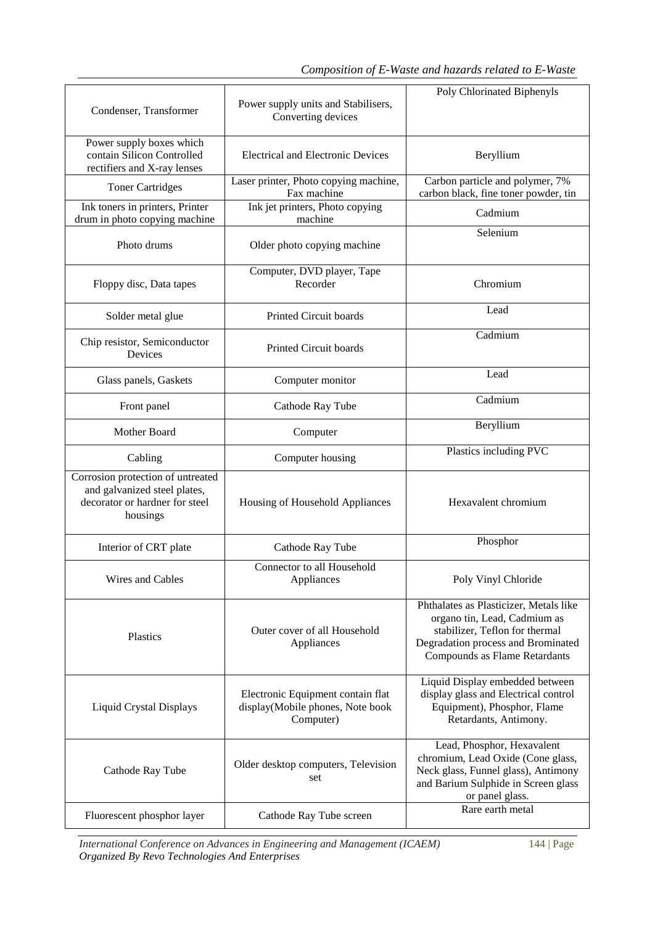| Condenser, Transformer                                                                                          | Power supply units and Stabilisers,<br>Converting devices                          | Poly Chlorinated Biphenyls                                                                                                                                                      |
|-----------------------------------------------------------------------------------------------------------------|------------------------------------------------------------------------------------|---------------------------------------------------------------------------------------------------------------------------------------------------------------------------------|
| Power supply boxes which<br>contain Silicon Controlled<br>rectifiers and X-ray lenses                           | <b>Electrical and Electronic Devices</b>                                           | Beryllium                                                                                                                                                                       |
| <b>Toner Cartridges</b>                                                                                         | Laser printer, Photo copying machine,<br>Fax machine                               | Carbon particle and polymer, 7%<br>carbon black, fine toner powder, tin                                                                                                         |
| Ink toners in printers, Printer<br>drum in photo copying machine                                                | Ink jet printers, Photo copying<br>machine                                         | Cadmium                                                                                                                                                                         |
| Photo drums                                                                                                     | Older photo copying machine                                                        | Selenium                                                                                                                                                                        |
| Floppy disc, Data tapes                                                                                         | Computer, DVD player, Tape<br>Recorder                                             | Chromium                                                                                                                                                                        |
| Solder metal glue                                                                                               | Printed Circuit boards                                                             | Lead                                                                                                                                                                            |
| Chip resistor, Semiconductor<br>Devices                                                                         | Printed Circuit boards                                                             | Cadmium                                                                                                                                                                         |
| Glass panels, Gaskets                                                                                           | Computer monitor                                                                   | Lead                                                                                                                                                                            |
| Front panel                                                                                                     | Cathode Ray Tube                                                                   | Cadmium                                                                                                                                                                         |
| Mother Board                                                                                                    | Computer                                                                           | Beryllium                                                                                                                                                                       |
| Cabling                                                                                                         | Computer housing                                                                   | Plastics including PVC                                                                                                                                                          |
| Corrosion protection of untreated<br>and galvanized steel plates,<br>decorator or hardner for steel<br>housings | Housing of Household Appliances                                                    | Hexavalent chromium                                                                                                                                                             |
| Interior of CRT plate                                                                                           | Cathode Ray Tube                                                                   | Phosphor                                                                                                                                                                        |
| Wires and Cables                                                                                                | Connector to all Household<br>Appliances                                           | Poly Vinyl Chloride                                                                                                                                                             |
| Outer cover of all Household<br>Plastics<br>Appliances                                                          |                                                                                    | Phthalates as Plasticizer, Metals like<br>organo tin, Lead, Cadmium as<br>stabilizer, Teflon for thermal<br>Degradation process and Brominated<br>Compounds as Flame Retardants |
| <b>Liquid Crystal Displays</b>                                                                                  | Electronic Equipment contain flat<br>display(Mobile phones, Note book<br>Computer) | Liquid Display embedded between<br>display glass and Electrical control<br>Equipment), Phosphor, Flame<br>Retardants, Antimony.                                                 |
| Cathode Ray Tube                                                                                                | Older desktop computers, Television<br>set                                         | Lead, Phosphor, Hexavalent<br>chromium, Lead Oxide (Cone glass,<br>Neck glass, Funnel glass), Antimony<br>and Barium Sulphide in Screen glass<br>or panel glass.                |
| Fluorescent phosphor layer                                                                                      | Cathode Ray Tube screen                                                            | Rare earth metal                                                                                                                                                                |

*International Conference on Advances in Engineering and Management (ICAEM)* 144 | Page *Organized By Revo Technologies And Enterprises*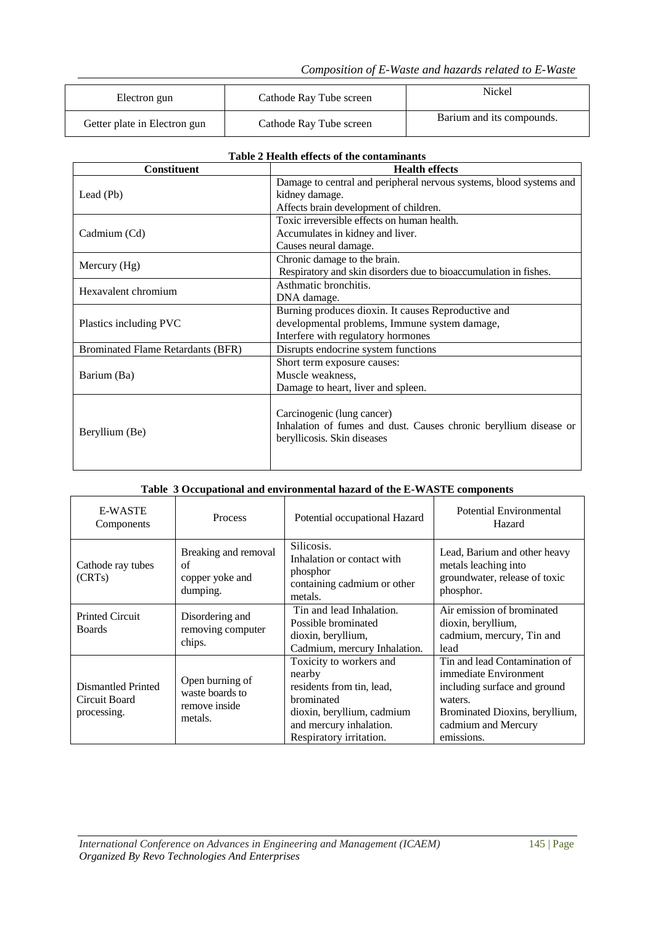*Composition of E-Waste and hazards related to E-Waste*

| Electron gun                 | Cathode Ray Tube screen | Nickel                    |
|------------------------------|-------------------------|---------------------------|
| Getter plate in Electron gun | Cathode Ray Tube screen | Barium and its compounds. |

| Table 2 Health effects of the contaminants |  |
|--------------------------------------------|--|
|                                            |  |

| <b>Constituent</b>                       | <b>Health effects</b>                                               |  |
|------------------------------------------|---------------------------------------------------------------------|--|
|                                          | Damage to central and peripheral nervous systems, blood systems and |  |
| Lead (Pb)                                | kidney damage.                                                      |  |
|                                          | Affects brain development of children.                              |  |
|                                          | Toxic irreversible effects on human health.                         |  |
| Cadmium (Cd)                             | Accumulates in kidney and liver.                                    |  |
|                                          | Causes neural damage.                                               |  |
|                                          | Chronic damage to the brain.                                        |  |
| Mercury (Hg)                             | Respiratory and skin disorders due to bioaccumulation in fishes.    |  |
|                                          | Asthmatic bronchitis.                                               |  |
| Hexavalent chromium                      | DNA damage.                                                         |  |
|                                          | Burning produces dioxin. It causes Reproductive and                 |  |
| Plastics including PVC                   | developmental problems, Immune system damage,                       |  |
|                                          | Interfere with regulatory hormones                                  |  |
| <b>Brominated Flame Retardants (BFR)</b> | Disrupts endocrine system functions                                 |  |
|                                          | Short term exposure causes:                                         |  |
| Barium (Ba)                              | Muscle weakness,                                                    |  |
|                                          | Damage to heart, liver and spleen.                                  |  |
|                                          |                                                                     |  |
|                                          | Carcinogenic (lung cancer)                                          |  |
|                                          | Inhalation of fumes and dust. Causes chronic beryllium disease or   |  |
| Beryllium (Be)                           | beryllicosis. Skin diseases                                         |  |
|                                          |                                                                     |  |
|                                          |                                                                     |  |

| Table 3 Occupational and environmental hazard of the E-WASTE components |  |
|-------------------------------------------------------------------------|--|
|-------------------------------------------------------------------------|--|

| <b>E-WASTE</b><br>Components                       | <b>Process</b>                                                 | Potential occupational Hazard                                                                                                                                    | Potential Environmental<br>Hazard                                                                                                                                        |
|----------------------------------------------------|----------------------------------------------------------------|------------------------------------------------------------------------------------------------------------------------------------------------------------------|--------------------------------------------------------------------------------------------------------------------------------------------------------------------------|
| Cathode ray tubes<br>(CRTs)                        | Breaking and removal<br>of<br>copper yoke and<br>dumping.      | Silicosis.<br>Inhalation or contact with<br>phosphor<br>containing cadmium or other<br>metals.                                                                   | Lead, Barium and other heavy<br>metals leaching into<br>groundwater, release of toxic<br>phosphor.                                                                       |
| <b>Printed Circuit</b><br><b>Boards</b>            | Disordering and<br>removing computer<br>chips.                 | Tin and lead Inhalation.<br>Possible brominated<br>dioxin, beryllium,<br>Cadmium, mercury Inhalation.                                                            | Air emission of brominated<br>dioxin, beryllium,<br>cadmium, mercury, Tin and<br>lead                                                                                    |
| Dismantled Printed<br>Circuit Board<br>processing. | Open burning of<br>waste boards to<br>remove inside<br>metals. | Toxicity to workers and<br>nearby<br>residents from tin, lead,<br>brominated<br>dioxin, beryllium, cadmium<br>and mercury inhalation.<br>Respiratory irritation. | Tin and lead Contamination of<br>immediate Environment<br>including surface and ground<br>waters.<br>Brominated Dioxins, beryllium,<br>cadmium and Mercury<br>emissions. |